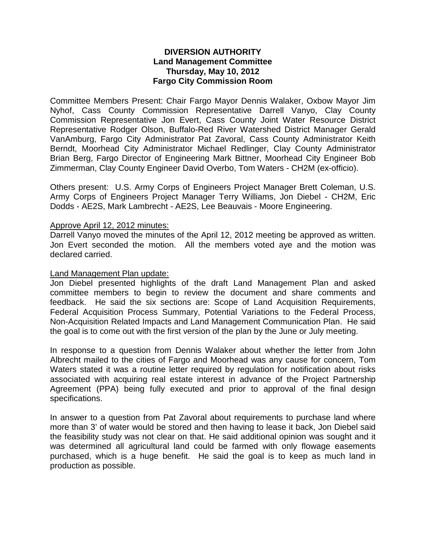# **DIVERSION AUTHORITY Land Management Committee Thursday, May 10, 2012 Fargo City Commission Room**

Committee Members Present: Chair Fargo Mayor Dennis Walaker, Oxbow Mayor Jim Nyhof, Cass County Commission Representative Darrell Vanyo, Clay County Commission Representative Jon Evert, Cass County Joint Water Resource District Representative Rodger Olson, Buffalo-Red River Watershed District Manager Gerald VanAmburg, Fargo City Administrator Pat Zavoral, Cass County Administrator Keith Berndt, Moorhead City Administrator Michael Redlinger, Clay County Administrator Brian Berg, Fargo Director of Engineering Mark Bittner, Moorhead City Engineer Bob Zimmerman, Clay County Engineer David Overbo, Tom Waters - CH2M (ex-officio).

Others present: U.S. Army Corps of Engineers Project Manager Brett Coleman, U.S. Army Corps of Engineers Project Manager Terry Williams, Jon Diebel - CH2M, Eric Dodds - AE2S, Mark Lambrecht - AE2S, Lee Beauvais - Moore Engineering.

### Approve April 12, 2012 minutes:

Darrell Vanyo moved the minutes of the April 12, 2012 meeting be approved as written. Jon Evert seconded the motion. All the members voted aye and the motion was declared carried.

#### Land Management Plan update:

Jon Diebel presented highlights of the draft Land Management Plan and asked committee members to begin to review the document and share comments and feedback. He said the six sections are: Scope of Land Acquisition Requirements, Federal Acquisition Process Summary, Potential Variations to the Federal Process, Non-Acquisition Related Impacts and Land Management Communication Plan. He said the goal is to come out with the first version of the plan by the June or July meeting.

In response to a question from Dennis Walaker about whether the letter from John Albrecht mailed to the cities of Fargo and Moorhead was any cause for concern, Tom Waters stated it was a routine letter required by regulation for notification about risks associated with acquiring real estate interest in advance of the Project Partnership Agreement (PPA) being fully executed and prior to approval of the final design specifications.

In answer to a question from Pat Zavoral about requirements to purchase land where more than 3' of water would be stored and then having to lease it back, Jon Diebel said the feasibility study was not clear on that. He said additional opinion was sought and it was determined all agricultural land could be farmed with only flowage easements purchased, which is a huge benefit. He said the goal is to keep as much land in production as possible.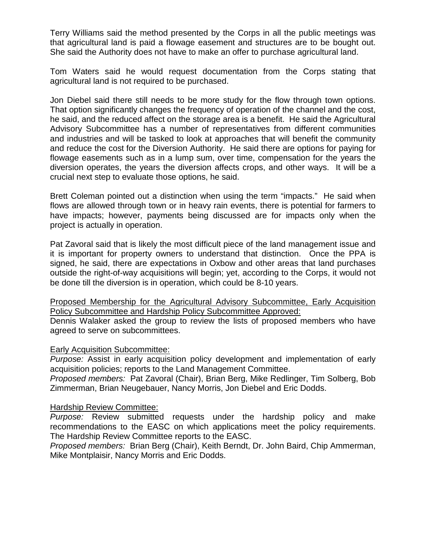Terry Williams said the method presented by the Corps in all the public meetings was that agricultural land is paid a flowage easement and structures are to be bought out. She said the Authority does not have to make an offer to purchase agricultural land.

Tom Waters said he would request documentation from the Corps stating that agricultural land is not required to be purchased.

Jon Diebel said there still needs to be more study for the flow through town options. That option significantly changes the frequency of operation of the channel and the cost, he said, and the reduced affect on the storage area is a benefit. He said the Agricultural Advisory Subcommittee has a number of representatives from different communities and industries and will be tasked to look at approaches that will benefit the community and reduce the cost for the Diversion Authority. He said there are options for paying for flowage easements such as in a lump sum, over time, compensation for the years the diversion operates, the years the diversion affects crops, and other ways. It will be a crucial next step to evaluate those options, he said.

Brett Coleman pointed out a distinction when using the term "impacts." He said when flows are allowed through town or in heavy rain events, there is potential for farmers to have impacts; however, payments being discussed are for impacts only when the project is actually in operation.

Pat Zavoral said that is likely the most difficult piece of the land management issue and it is important for property owners to understand that distinction. Once the PPA is signed, he said, there are expectations in Oxbow and other areas that land purchases outside the right-of-way acquisitions will begin; yet, according to the Corps, it would not be done till the diversion is in operation, which could be 8-10 years.

Proposed Membership for the Agricultural Advisory Subcommittee, Early Acquisition Policy Subcommittee and Hardship Policy Subcommittee Approved:

Dennis Walaker asked the group to review the lists of proposed members who have agreed to serve on subcommittees.

# Early Acquisition Subcommittee:

*Purpose:* Assist in early acquisition policy development and implementation of early acquisition policies; reports to the Land Management Committee.

*Proposed members:* Pat Zavoral (Chair), Brian Berg, Mike Redlinger, Tim Solberg, Bob Zimmerman, Brian Neugebauer, Nancy Morris, Jon Diebel and Eric Dodds.

### Hardship Review Committee:

*Purpose:* Review submitted requests under the hardship policy and make recommendations to the EASC on which applications meet the policy requirements. The Hardship Review Committee reports to the EASC.

*Proposed members:* Brian Berg (Chair), Keith Berndt, Dr. John Baird, Chip Ammerman, Mike Montplaisir, Nancy Morris and Eric Dodds.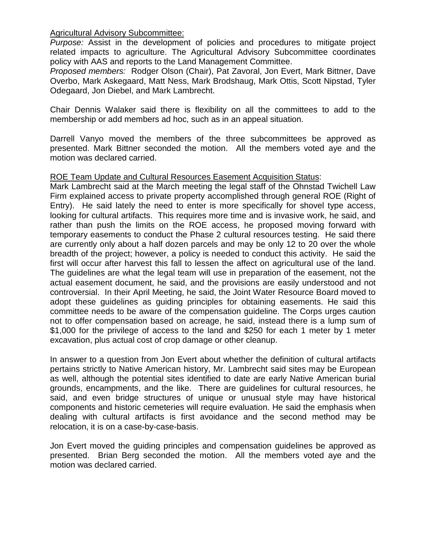Agricultural Advisory Subcommittee:

*Purpose:* Assist in the development of policies and procedures to mitigate project related impacts to agriculture. The Agricultural Advisory Subcommittee coordinates policy with AAS and reports to the Land Management Committee.

*Proposed members:* Rodger Olson (Chair), Pat Zavoral, Jon Evert, Mark Bittner, Dave Overbo, Mark Askegaard, Matt Ness, Mark Brodshaug, Mark Ottis, Scott Nipstad, Tyler Odegaard, Jon Diebel, and Mark Lambrecht.

Chair Dennis Walaker said there is flexibility on all the committees to add to the membership or add members ad hoc, such as in an appeal situation.

Darrell Vanyo moved the members of the three subcommittees be approved as presented. Mark Bittner seconded the motion. All the members voted aye and the motion was declared carried.

# ROE Team Update and Cultural Resources Easement Acquisition Status:

Mark Lambrecht said at the March meeting the legal staff of the Ohnstad Twichell Law Firm explained access to private property accomplished through general ROE (Right of Entry). He said lately the need to enter is more specifically for shovel type access, looking for cultural artifacts. This requires more time and is invasive work, he said, and rather than push the limits on the ROE access, he proposed moving forward with temporary easements to conduct the Phase 2 cultural resources testing. He said there are currently only about a half dozen parcels and may be only 12 to 20 over the whole breadth of the project; however, a policy is needed to conduct this activity. He said the first will occur after harvest this fall to lessen the affect on agricultural use of the land. The guidelines are what the legal team will use in preparation of the easement, not the actual easement document, he said, and the provisions are easily understood and not controversial. In their April Meeting, he said, the Joint Water Resource Board moved to adopt these guidelines as guiding principles for obtaining easements. He said this committee needs to be aware of the compensation guideline. The Corps urges caution not to offer compensation based on acreage, he said, instead there is a lump sum of \$1,000 for the privilege of access to the land and \$250 for each 1 meter by 1 meter excavation, plus actual cost of crop damage or other cleanup.

In answer to a question from Jon Evert about whether the definition of cultural artifacts pertains strictly to Native American history, Mr. Lambrecht said sites may be European as well, although the potential sites identified to date are early Native American burial grounds, encampments, and the like. There are guidelines for cultural resources, he said, and even bridge structures of unique or unusual style may have historical components and historic cemeteries will require evaluation. He said the emphasis when dealing with cultural artifacts is first avoidance and the second method may be relocation, it is on a case-by-case-basis.

Jon Evert moved the guiding principles and compensation guidelines be approved as presented. Brian Berg seconded the motion. All the members voted aye and the motion was declared carried.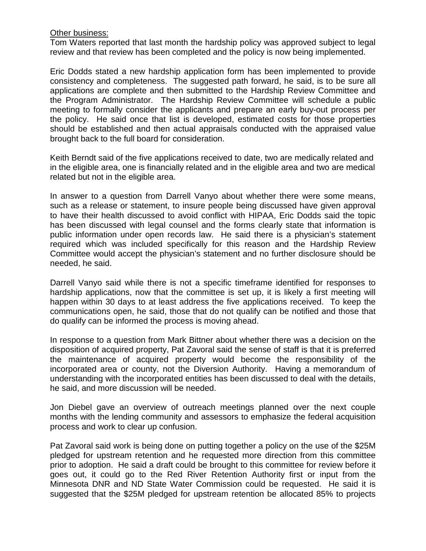### **Other business:**

Tom Waters reported that last month the hardship policy was approved subject to legal review and that review has been completed and the policy is now being implemented.

Eric Dodds stated a new hardship application form has been implemented to provide consistency and completeness. The suggested path forward, he said, is to be sure all applications are complete and then submitted to the Hardship Review Committee and the Program Administrator. The Hardship Review Committee will schedule a public meeting to formally consider the applicants and prepare an early buy-out process per the policy. He said once that list is developed, estimated costs for those properties should be established and then actual appraisals conducted with the appraised value brought back to the full board for consideration.

Keith Berndt said of the five applications received to date, two are medically related and in the eligible area, one is financially related and in the eligible area and two are medical related but not in the eligible area.

In answer to a question from Darrell Vanyo about whether there were some means, such as a release or statement, to insure people being discussed have given approval to have their health discussed to avoid conflict with HIPAA, Eric Dodds said the topic has been discussed with legal counsel and the forms clearly state that information is public information under open records law. He said there is a physician's statement required which was included specifically for this reason and the Hardship Review Committee would accept the physician's statement and no further disclosure should be needed, he said.

Darrell Vanyo said while there is not a specific timeframe identified for responses to hardship applications, now that the committee is set up, it is likely a first meeting will happen within 30 days to at least address the five applications received. To keep the communications open, he said, those that do not qualify can be notified and those that do qualify can be informed the process is moving ahead.

In response to a question from Mark Bittner about whether there was a decision on the disposition of acquired property, Pat Zavoral said the sense of staff is that it is preferred the maintenance of acquired property would become the responsibility of the incorporated area or county, not the Diversion Authority. Having a memorandum of understanding with the incorporated entities has been discussed to deal with the details, he said, and more discussion will be needed.

Jon Diebel gave an overview of outreach meetings planned over the next couple months with the lending community and assessors to emphasize the federal acquisition process and work to clear up confusion.

Pat Zavoral said work is being done on putting together a policy on the use of the \$25M pledged for upstream retention and he requested more direction from this committee prior to adoption. He said a draft could be brought to this committee for review before it goes out, it could go to the Red River Retention Authority first or input from the Minnesota DNR and ND State Water Commission could be requested. He said it is suggested that the \$25M pledged for upstream retention be allocated 85% to projects